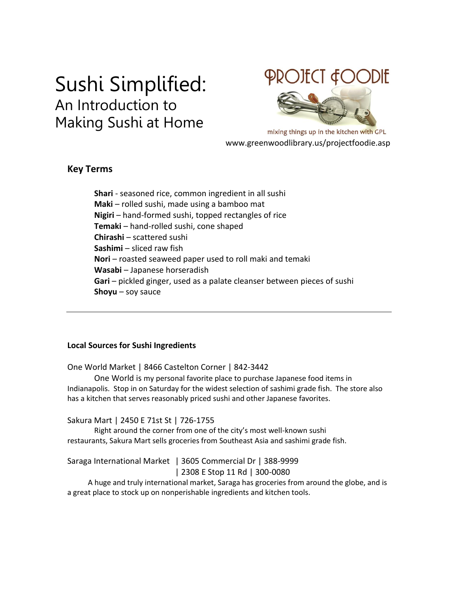# Sushi Simplified: An Introduction to Making Sushi at Home

# PROJECT &OODIE

mixing things up in the kitchen with GPL www.greenwoodlibrary.us/projectfoodie.asp

### **Key Terms**

**Shari** - seasoned rice, common ingredient in all sushi **Maki** – rolled sushi, made using a bamboo mat **Nigiri** – hand-formed sushi, topped rectangles of rice **Temaki** – hand-rolled sushi, cone shaped **Chirashi** – scattered sushi **Sashimi** – sliced raw fish **Nori** – roasted seaweed paper used to roll maki and temaki **Wasabi** – Japanese horseradish **Gari** – pickled ginger, used as a palate cleanser between pieces of sushi **Shoyu** – soy sauce

#### **Local Sources for Sushi Ingredients**

One World Market | 8466 Castelton Corner | 842-3442

One World is my personal favorite place to purchase Japanese food items in Indianapolis. Stop in on Saturday for the widest selection of sashimi grade fish. The store also has a kitchen that serves reasonably priced sushi and other Japanese favorites.

#### Sakura Mart | 2450 E 71st St | 726-1755

Right around the corner from one of the city's most well-known sushi restaurants, Sakura Mart sells groceries from Southeast Asia and sashimi grade fish.

#### Saraga International Market | 3605 Commercial Dr | 388-9999 | 2308 E Stop 11 Rd | 300-0080

 A huge and truly international market, Saraga has groceries from around the globe, and is a great place to stock up on nonperishable ingredients and kitchen tools.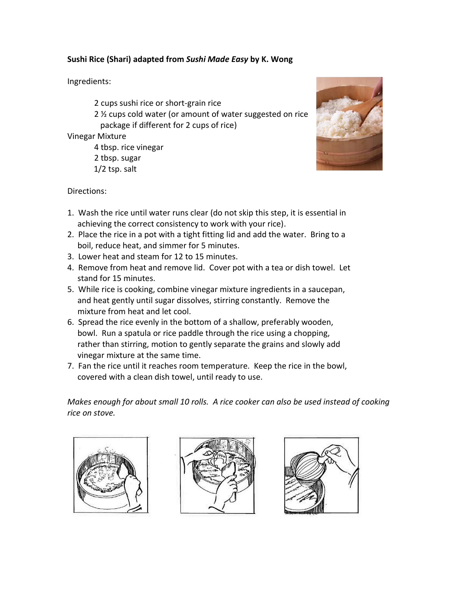#### **Sushi Rice (Shari) adapted from** *Sushi Made Easy* **by K. Wong**

#### Ingredients:

2 cups sushi rice or short-grain rice

2 ½ cups cold water (or amount of water suggested on rice package if different for 2 cups of rice)

Vinegar Mixture

4 tbsp. rice vinegar 2 tbsp. sugar 1/2 tsp. salt



Directions:

- 1. Wash the rice until water runs clear (do not skip this step, it is essential in achieving the correct consistency to work with your rice).
- 2. Place the rice in a pot with a tight fitting lid and add the water. Bring to a boil, reduce heat, and simmer for 5 minutes.
- 3. Lower heat and steam for 12 to 15 minutes.
- 4. Remove from heat and remove lid. Cover pot with a tea or dish towel. Let stand for 15 minutes.
- 5. While rice is cooking, combine vinegar mixture ingredients in a saucepan, and heat gently until sugar dissolves, stirring constantly. Remove the mixture from heat and let cool.
- 6. Spread the rice evenly in the bottom of a shallow, preferably wooden, bowl. Run a spatula or rice paddle through the rice using a chopping, rather than stirring, motion to gently separate the grains and slowly add vinegar mixture at the same time.
- 7. Fan the rice until it reaches room temperature. Keep the rice in the bowl, covered with a clean dish towel, until ready to use.

*Makes enough for about small 10 rolls. A rice cooker can also be used instead of cooking rice on stove.*





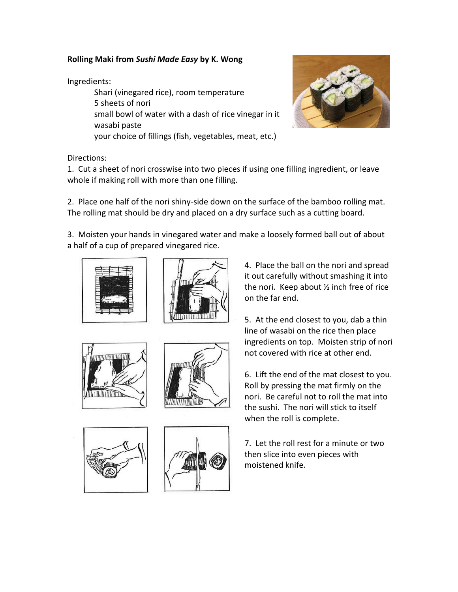#### **Rolling Maki from** *Sushi Made Easy* **by K. Wong**

Ingredients:

Shari (vinegared rice), room temperature 5 sheets of nori small bowl of water with a dash of rice vinegar in it wasabi paste your choice of fillings (fish, vegetables, meat, etc.)



Directions:

1. Cut a sheet of nori crosswise into two pieces if using one filling ingredient, or leave whole if making roll with more than one filling.

2. Place one half of the nori shiny-side down on the surface of the bamboo rolling mat. The rolling mat should be dry and placed on a dry surface such as a cutting board.

3. Moisten your hands in vinegared water and make a loosely formed ball out of about a half of a cup of prepared vinegared rice.











4. Place the ball on the nori and spread it out carefully without smashing it into the nori. Keep about ½ inch free of rice on the far end.

5. At the end closest to you, dab a thin line of wasabi on the rice then place ingredients on top. Moisten strip of nori not covered with rice at other end.

6. Lift the end of the mat closest to you. Roll by pressing the mat firmly on the nori. Be careful not to roll the mat into the sushi. The nori will stick to itself when the roll is complete.

7. Let the roll rest for a minute or two then slice into even pieces with moistened knife.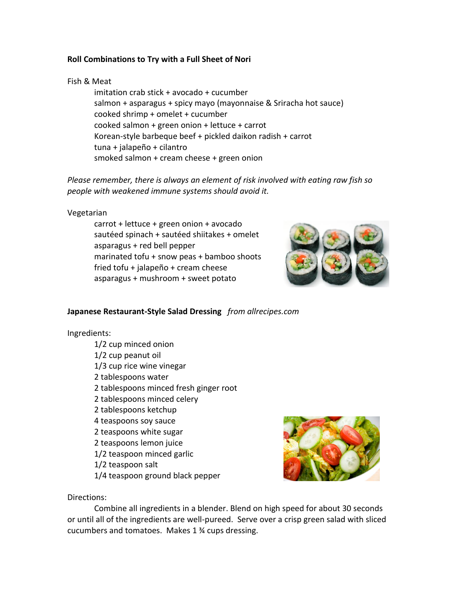#### **Roll Combinations to Try with a Full Sheet of Nori**

#### Fish & Meat

imitation crab stick + avocado + cucumber salmon + asparagus + spicy mayo (mayonnaise & Sriracha hot sauce) cooked shrimp + omelet + cucumber cooked salmon + green onion + lettuce + carrot Korean-style barbeque beef + pickled daikon radish + carrot tuna + jalapeño + cilantro smoked salmon + cream cheese + green onion

*Please remember, there is always an element of risk involved with eating raw fish so people with weakened immune systems should avoid it.* 

#### Vegetarian

carrot + lettuce + green onion + avocado sautéed spinach + sautéed shiitakes + omelet asparagus + red bell pepper marinated tofu + snow peas + bamboo shoots fried tofu + jalapeño + cream cheese asparagus + mushroom + sweet potato



#### **Japanese Restaurant-Style Salad Dressing** *from allrecipes.com*

#### Ingredients:

1/2 cup minced onion 1/2 cup peanut oil 1/3 cup rice wine vinegar 2 tablespoons water 2 tablespoons minced fresh ginger root 2 tablespoons minced celery 2 tablespoons ketchup 4 teaspoons soy sauce 2 teaspoons white sugar 2 teaspoons lemon juice 1/2 teaspoon minced garlic 1/2 teaspoon salt 1/4 teaspoon ground black pepper



#### Directions:

Combine all ingredients in a blender. Blend on high speed for about 30 seconds or until all of the ingredients are well-pureed. Serve over a crisp green salad with sliced cucumbers and tomatoes. Makes 1 ¾ cups dressing.